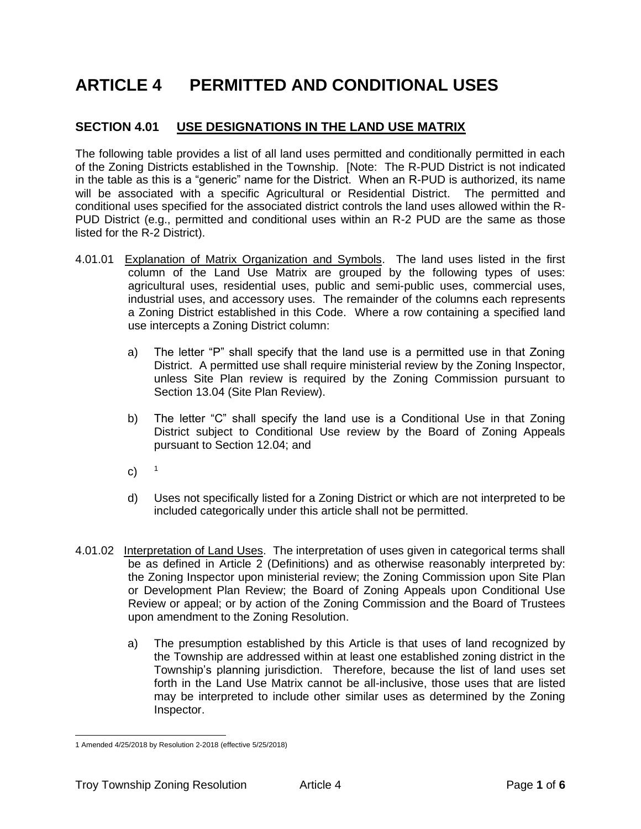# **ARTICLE 4 PERMITTED AND CONDITIONAL USES**

## **SECTION 4.01 USE DESIGNATIONS IN THE LAND USE MATRIX**

The following table provides a list of all land uses permitted and conditionally permitted in each of the Zoning Districts established in the Township. [Note: The R-PUD District is not indicated in the table as this is a "generic" name for the District. When an R-PUD is authorized, its name will be associated with a specific Agricultural or Residential District. The permitted and conditional uses specified for the associated district controls the land uses allowed within the R-PUD District (e.g., permitted and conditional uses within an R-2 PUD are the same as those listed for the R-2 District).

- 4.01.01 Explanation of Matrix Organization and Symbols. The land uses listed in the first column of the Land Use Matrix are grouped by the following types of uses: agricultural uses, residential uses, public and semi-public uses, commercial uses, industrial uses, and accessory uses. The remainder of the columns each represents a Zoning District established in this Code. Where a row containing a specified land use intercepts a Zoning District column:
	- a) The letter "P" shall specify that the land use is a permitted use in that Zoning District. A permitted use shall require ministerial review by the Zoning Inspector, unless Site Plan review is required by the Zoning Commission pursuant to Section 13.04 (Site Plan Review).
	- b) The letter "C" shall specify the land use is a Conditional Use in that Zoning District subject to Conditional Use review by the Board of Zoning Appeals pursuant to Section 12.04; and
	- c)  $1$
	- d) Uses not specifically listed for a Zoning District or which are not interpreted to be included categorically under this article shall not be permitted.
- 4.01.02 Interpretation of Land Uses. The interpretation of uses given in categorical terms shall be as defined in Article 2 (Definitions) and as otherwise reasonably interpreted by: the Zoning Inspector upon ministerial review; the Zoning Commission upon Site Plan or Development Plan Review; the Board of Zoning Appeals upon Conditional Use Review or appeal; or by action of the Zoning Commission and the Board of Trustees upon amendment to the Zoning Resolution.
	- a) The presumption established by this Article is that uses of land recognized by the Township are addressed within at least one established zoning district in the Township's planning jurisdiction. Therefore, because the list of land uses set forth in the Land Use Matrix cannot be all-inclusive, those uses that are listed may be interpreted to include other similar uses as determined by the Zoning Inspector.

<sup>1</sup> Amended 4/25/2018 by Resolution 2-2018 (effective 5/25/2018)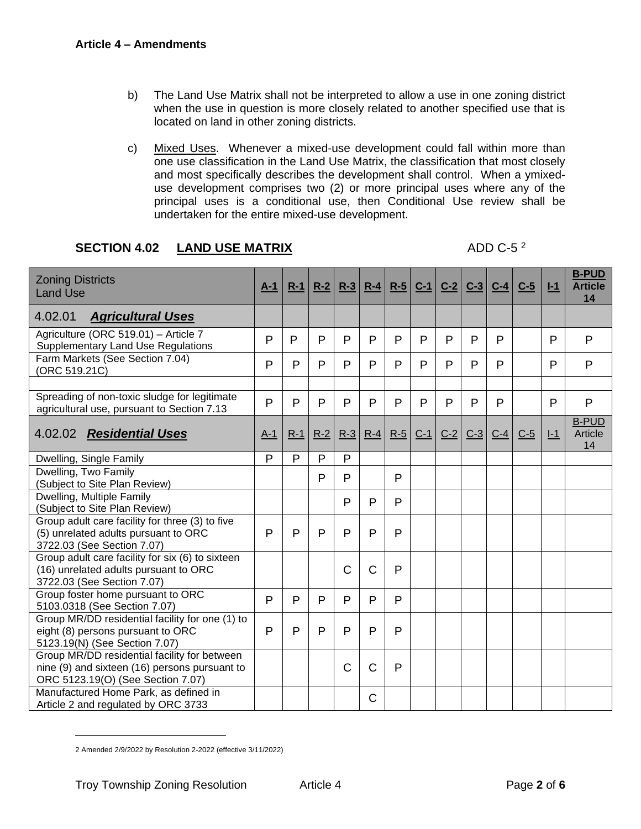- b) The Land Use Matrix shall not be interpreted to allow a use in one zoning district when the use in question is more closely related to another specified use that is located on land in other zoning districts.
- c) Mixed Uses. Whenever a mixed-use development could fall within more than one use classification in the Land Use Matrix, the classification that most closely and most specifically describes the development shall control. When a ymixeduse development comprises two (2) or more principal uses where any of the principal uses is a conditional use, then Conditional Use review shall be undertaken for the entire mixed-use development.

### **SECTION 4.02 LAND USE MATRIX**

#### ADD C-5 $2$

| <b>Zoning Districts</b><br><b>Land Use</b>                                                                                         | $A-1$ | $R-1$        | $R-2$ | $R-3$        | $R-4$          | $R-5$        | $C-1$        | $C-2$        | $C-3$        | $C-4$ | $C-5$ | $I-1$        | <b>B-PUD</b><br><b>Article</b><br>14 |
|------------------------------------------------------------------------------------------------------------------------------------|-------|--------------|-------|--------------|----------------|--------------|--------------|--------------|--------------|-------|-------|--------------|--------------------------------------|
| 4.02.01<br><b>Agricultural Uses</b>                                                                                                |       |              |       |              |                |              |              |              |              |       |       |              |                                      |
| Agriculture (ORC 519.01) - Article 7<br><b>Supplementary Land Use Regulations</b>                                                  | P     | P            | P     | P            | P              | P            | P            | P            | $\mathsf{P}$ | P     |       | P            | P                                    |
| Farm Markets (See Section 7.04)<br>(ORC 519.21C)                                                                                   | P     | P            | P     | P            | P              | P            | P            | P            | P            | P     |       | P            | P                                    |
|                                                                                                                                    |       |              |       |              |                |              |              |              |              |       |       |              |                                      |
| Spreading of non-toxic sludge for legitimate<br>agricultural use, pursuant to Section 7.13                                         | P     | P            | P     | $\mathsf{P}$ | P              | P            | $\mathsf{P}$ | $\mathsf{P}$ | $\mathsf{P}$ | P     |       | $\mathsf{P}$ | P                                    |
| 4.02.02 Residential Uses                                                                                                           | $A-1$ | $R-1$        | $R-2$ | $R-3$        | $R-4$          | $R-5$        | $C-1$        | $C-2$        | $C-3$        | $C-4$ | $C-5$ | $I-1$        | <b>B-PUD</b><br>Article<br>14        |
| Dwelling, Single Family                                                                                                            | P     | P            | P     | P            |                |              |              |              |              |       |       |              |                                      |
| Dwelling, Two Family<br>(Subject to Site Plan Review)                                                                              |       |              | P     | P            |                | P            |              |              |              |       |       |              |                                      |
| Dwelling, Multiple Family<br>(Subject to Site Plan Review)                                                                         |       |              |       | P            | P              | P            |              |              |              |       |       |              |                                      |
| Group adult care facility for three (3) to five<br>(5) unrelated adults pursuant to ORC<br>3722.03 (See Section 7.07)              | P     | $\mathsf{P}$ | P     | $\mathsf{P}$ | P              | P            |              |              |              |       |       |              |                                      |
| Group adult care facility for $six$ (6) to sixteen<br>(16) unrelated adults pursuant to ORC<br>3722.03 (See Section 7.07)          |       |              |       | $\mathsf C$  | $\overline{C}$ | $\mathsf{P}$ |              |              |              |       |       |              |                                      |
| Group foster home pursuant to ORC<br>5103.0318 (See Section 7.07)                                                                  | P     | P            | P     | $\mathsf{P}$ | P              | P            |              |              |              |       |       |              |                                      |
| Group MR/DD residential facility for one (1) to<br>eight (8) persons pursuant to ORC<br>5123.19(N) (See Section 7.07)              | P     | P            | P     | P            | P              | P            |              |              |              |       |       |              |                                      |
| Group MR/DD residential facility for between<br>nine (9) and sixteen (16) persons pursuant to<br>ORC 5123.19(O) (See Section 7.07) |       |              |       | $\mathsf{C}$ | $\overline{C}$ | P            |              |              |              |       |       |              |                                      |
| Manufactured Home Park, as defined in<br>Article 2 and regulated by ORC 3733                                                       |       |              |       |              | C              |              |              |              |              |       |       |              |                                      |

<sup>2</sup> Amended 2/9/2022 by Resolution 2-2022 (effective 3/11/2022)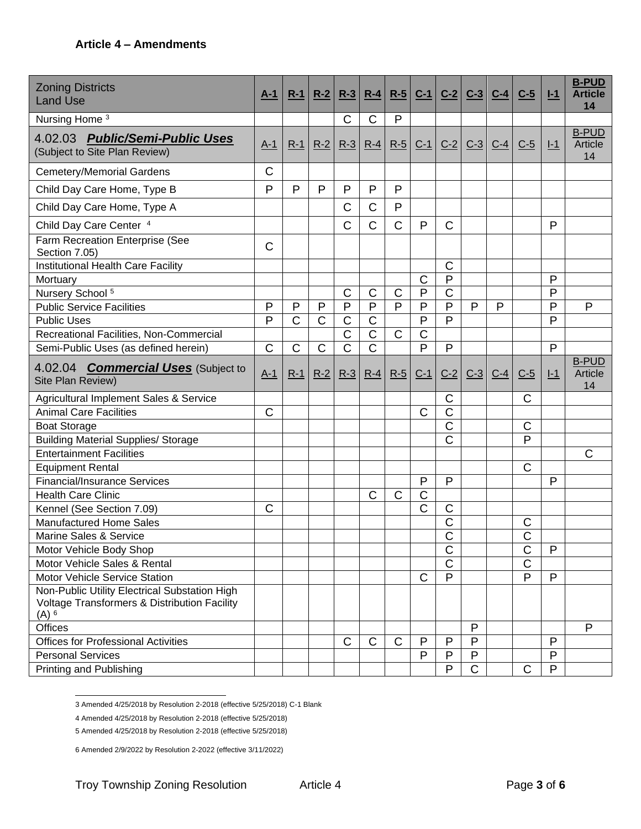| <b>Zoning Districts</b><br><b>Land Use</b>                                                               | $A-1$        | $R-1$                 | $R-2$       | $R-3$          | $R-4$                 | $R-5$          | $C-1$                 | $C-2$                 | $C-3$                 | $C-4$ | $C-5$          | $I-1$        | <b>B-PUD</b><br><b>Article</b><br>14 |
|----------------------------------------------------------------------------------------------------------|--------------|-----------------------|-------------|----------------|-----------------------|----------------|-----------------------|-----------------------|-----------------------|-------|----------------|--------------|--------------------------------------|
| Nursing Home <sup>3</sup>                                                                                |              |                       |             | $\mathsf{C}$   | $\mathsf C$           | P              |                       |                       |                       |       |                |              |                                      |
| 4.02.03 Public/Semi-Public Uses<br>(Subject to Site Plan Review)                                         | $A-1$        | $R-1$                 | $R-2$       | $R-3$          | $R-4$                 | $R-5$          | $C-1$                 | $C-2$                 | $C-3$                 | $C-4$ | $C-5$          | $I-1$        | <b>B-PUD</b><br>Article<br>14        |
| <b>Cemetery/Memorial Gardens</b>                                                                         | $\mathsf{C}$ |                       |             |                |                       |                |                       |                       |                       |       |                |              |                                      |
| Child Day Care Home, Type B                                                                              | P            | P                     | P           | P              | P                     | $\mathsf{P}$   |                       |                       |                       |       |                |              |                                      |
| Child Day Care Home, Type A                                                                              |              |                       |             | C              | C                     | P              |                       |                       |                       |       |                |              |                                      |
| Child Day Care Center 4                                                                                  |              |                       |             | C              | C                     | $\mathsf C$    | P                     | $\mathsf{C}$          |                       |       |                | P            |                                      |
| Farm Recreation Enterprise (See<br>Section 7.05)                                                         | C            |                       |             |                |                       |                |                       |                       |                       |       |                |              |                                      |
| Institutional Health Care Facility                                                                       |              |                       |             |                |                       |                |                       | $\mathsf{C}$          |                       |       |                |              |                                      |
| Mortuary                                                                                                 |              |                       |             |                |                       |                | $\mathsf C$           | P                     |                       |       |                | P            |                                      |
| Nursery School <sup>5</sup>                                                                              |              |                       |             | $\mathsf C$    | С                     | C              | P                     | $\mathsf C$           |                       |       |                | P            |                                      |
| <b>Public Service Facilities</b>                                                                         | P            | $\mathsf{P}$          | P           | $\mathsf{P}$   | $\overline{P}$        | $\overline{P}$ | P                     | $\overline{P}$        | $\mathsf{P}$          | P     |                | P            | P                                    |
| <b>Public Uses</b>                                                                                       | P            | $\overline{\text{C}}$ | $\mathsf C$ | $\mathsf C$    | $\overline{\text{C}}$ |                | P                     | P                     |                       |       |                | P            |                                      |
| Recreational Facilities, Non-Commercial                                                                  |              |                       |             | $\mathsf C$    | $\mathsf C$           | $\mathsf C$    | $\mathsf C$           |                       |                       |       |                |              |                                      |
| Semi-Public Uses (as defined herein)                                                                     | $\mathsf{C}$ | $\mathsf C$           | $\mathsf C$ | $\overline{C}$ | $\overline{\text{C}}$ |                | P                     | $\mathsf{P}$          |                       |       |                | P            |                                      |
| 4.02.04 <b>Commercial Uses</b> (Subject to<br>Site Plan Review)                                          | $A-1$        | $R-1$                 | $R-2$       | $R-3$          | $R-4$                 | $R-5$          | $C-1$                 | $C-2$                 | $C-3$                 | $C-4$ | $C-5$          | $I-1$        | <b>B-PUD</b><br>Article<br>14        |
| Agricultural Implement Sales & Service                                                                   |              |                       |             |                |                       |                |                       | $\mathsf{C}$          |                       |       | $\mathsf{C}$   |              |                                      |
| <b>Animal Care Facilities</b>                                                                            | $\mathsf{C}$ |                       |             |                |                       |                | $\mathsf{C}$          | $\overline{\text{C}}$ |                       |       |                |              |                                      |
| <b>Boat Storage</b>                                                                                      |              |                       |             |                |                       |                |                       | $\overline{C}$        |                       |       | $\mathsf C$    |              |                                      |
| <b>Building Material Supplies/ Storage</b>                                                               |              |                       |             |                |                       |                |                       | $\mathsf C$           |                       |       | P              |              |                                      |
| <b>Entertainment Facilities</b>                                                                          |              |                       |             |                |                       |                |                       |                       |                       |       |                |              | C                                    |
| <b>Equipment Rental</b>                                                                                  |              |                       |             |                |                       |                |                       |                       |                       |       | C              |              |                                      |
| <b>Financial/Insurance Services</b>                                                                      |              |                       |             |                |                       |                | P                     | $\mathsf{P}$          |                       |       |                | $\mathsf{P}$ |                                      |
| <b>Health Care Clinic</b>                                                                                |              |                       |             |                | C                     | C              | C                     |                       |                       |       |                |              |                                      |
| Kennel (See Section 7.09)                                                                                | $\mathsf{C}$ |                       |             |                |                       |                | $\overline{\text{C}}$ | $\mathsf C$           |                       |       |                |              |                                      |
| Manufactured Home Sales                                                                                  |              |                       |             |                |                       |                |                       | $\mathsf C$           |                       |       | C              |              |                                      |
| Marine Sales & Service                                                                                   |              |                       |             |                |                       |                |                       | $\mathsf C$           |                       |       | $\overline{C}$ |              |                                      |
| Motor Vehicle Body Shop                                                                                  |              |                       |             |                |                       |                |                       | $\mathsf C$           |                       |       | $\mathsf C$    | P            |                                      |
| Motor Vehicle Sales & Rental                                                                             |              |                       |             |                |                       |                |                       | $\overline{\text{C}}$ |                       |       | $\mathsf C$    |              |                                      |
| Motor Vehicle Service Station                                                                            |              |                       |             |                |                       |                | $\mathsf{C}$          | P                     |                       |       | P              | P            |                                      |
| Non-Public Utility Electrical Substation High<br>Voltage Transformers & Distribution Facility<br>$(A)$ 6 |              |                       |             |                |                       |                |                       |                       |                       |       |                |              |                                      |
| <b>Offices</b>                                                                                           |              |                       |             |                |                       |                |                       |                       | P                     |       |                |              | P                                    |
| <b>Offices for Professional Activities</b>                                                               |              |                       |             | $\mathsf{C}$   | C                     | C              | P                     | P                     | $\mathsf{P}$          |       |                | P            |                                      |
| <b>Personal Services</b>                                                                                 |              |                       |             |                |                       |                | P                     | P                     | P                     |       |                | $\mathsf{P}$ |                                      |
| Printing and Publishing                                                                                  |              |                       |             |                |                       |                |                       | P                     | $\overline{\text{C}}$ |       | $\mathsf{C}$   | $\mathsf{P}$ |                                      |

3 Amended 4/25/2018 by Resolution 2-2018 (effective 5/25/2018) C-1 Blank

4 Amended 4/25/2018 by Resolution 2-2018 (effective 5/25/2018)

5 Amended 4/25/2018 by Resolution 2-2018 (effective 5/25/2018)

6 Amended 2/9/2022 by Resolution 2-2022 (effective 3/11/2022)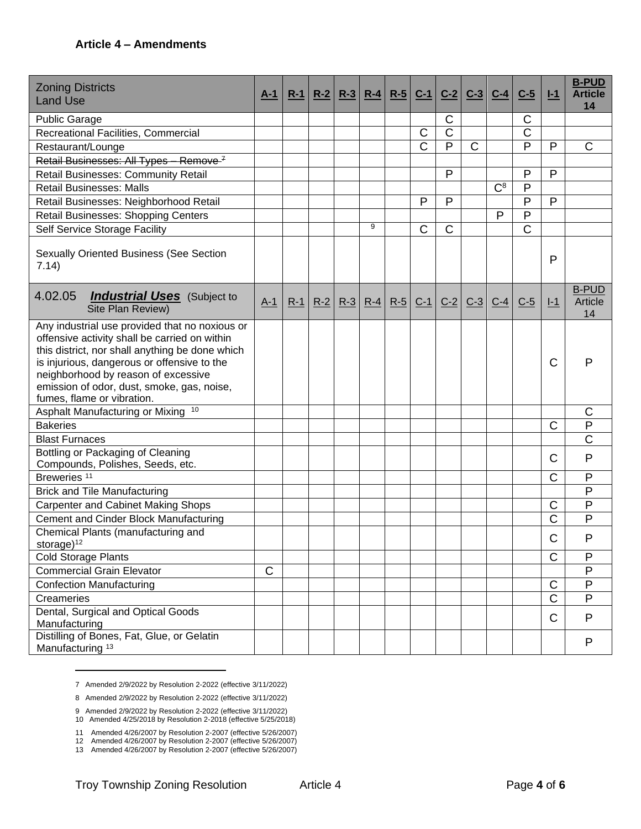| <b>Zoning Districts</b><br><b>Land Use</b>                                                                                                                                                                                                                                                                           | $A-1$       | $R-1$ | $R-2$ | $R-3$ | $R-4$ | $R-5$ | $C-1$          | $C-2$          | $C-3$ | $C-4$ | $C-5$          | $I-1$                 | <b>B-PUD</b><br><b>Article</b><br>14 |
|----------------------------------------------------------------------------------------------------------------------------------------------------------------------------------------------------------------------------------------------------------------------------------------------------------------------|-------------|-------|-------|-------|-------|-------|----------------|----------------|-------|-------|----------------|-----------------------|--------------------------------------|
| <b>Public Garage</b>                                                                                                                                                                                                                                                                                                 |             |       |       |       |       |       |                | C              |       |       | C              |                       |                                      |
| Recreational Facilities, Commercial                                                                                                                                                                                                                                                                                  |             |       |       |       |       |       | C              | $\mathsf C$    |       |       | $\mathsf C$    |                       |                                      |
| Restaurant/Lounge                                                                                                                                                                                                                                                                                                    |             |       |       |       |       |       | $\overline{C}$ | $\overline{P}$ | C     |       | $\overline{P}$ | $\mathsf{P}$          | $\overline{C}$                       |
| Retail Businesses: All Types - Remove <sup>7</sup>                                                                                                                                                                                                                                                                   |             |       |       |       |       |       |                |                |       |       |                |                       |                                      |
| Retail Businesses: Community Retail                                                                                                                                                                                                                                                                                  |             |       |       |       |       |       |                | P              |       |       | $\mathsf{P}$   | P                     |                                      |
| <b>Retail Businesses: Malls</b>                                                                                                                                                                                                                                                                                      |             |       |       |       |       |       |                |                |       | $C^8$ | P              |                       |                                      |
| Retail Businesses: Neighborhood Retail                                                                                                                                                                                                                                                                               |             |       |       |       |       |       | $\mathsf{P}$   | P              |       |       | P              | P                     |                                      |
| Retail Businesses: Shopping Centers                                                                                                                                                                                                                                                                                  |             |       |       |       |       |       |                |                |       | P     | P              |                       |                                      |
| Self Service Storage Facility                                                                                                                                                                                                                                                                                        |             |       |       |       | 9     |       | $\mathsf{C}$   | $\mathsf C$    |       |       | $\mathsf C$    |                       |                                      |
| <b>Sexually Oriented Business (See Section</b><br>7.14)                                                                                                                                                                                                                                                              |             |       |       |       |       |       |                |                |       |       |                | P                     |                                      |
| 4.02.05<br><b>Industrial Uses</b> (Subject to<br>Site Plan Review)                                                                                                                                                                                                                                                   | $A-1$       | $R-1$ | $R-2$ | $R-3$ | $R-4$ | $R-5$ | $C-1$          | $C-2$          | $C-3$ | $C-4$ | $C-5$          | $I-1$                 | <b>B-PUD</b><br>Article<br>14        |
| Any industrial use provided that no noxious or<br>offensive activity shall be carried on within<br>this district, nor shall anything be done which<br>is injurious, dangerous or offensive to the<br>neighborhood by reason of excessive<br>emission of odor, dust, smoke, gas, noise,<br>fumes, flame or vibration. |             |       |       |       |       |       |                |                |       |       |                | С                     | P                                    |
| Asphalt Manufacturing or Mixing 10                                                                                                                                                                                                                                                                                   |             |       |       |       |       |       |                |                |       |       |                |                       | C                                    |
| <b>Bakeries</b>                                                                                                                                                                                                                                                                                                      |             |       |       |       |       |       |                |                |       |       |                | C                     | $\mathsf{P}$                         |
| <b>Blast Furnaces</b>                                                                                                                                                                                                                                                                                                |             |       |       |       |       |       |                |                |       |       |                |                       | C                                    |
| Bottling or Packaging of Cleaning<br>Compounds, Polishes, Seeds, etc.                                                                                                                                                                                                                                                |             |       |       |       |       |       |                |                |       |       |                | C                     | $\mathsf{P}$                         |
| Breweries <sup>11</sup>                                                                                                                                                                                                                                                                                              |             |       |       |       |       |       |                |                |       |       |                | C                     | P                                    |
| <b>Brick and Tile Manufacturing</b>                                                                                                                                                                                                                                                                                  |             |       |       |       |       |       |                |                |       |       |                |                       | P                                    |
| <b>Carpenter and Cabinet Making Shops</b>                                                                                                                                                                                                                                                                            |             |       |       |       |       |       |                |                |       |       |                | C                     | P                                    |
| Cement and Cinder Block Manufacturing                                                                                                                                                                                                                                                                                |             |       |       |       |       |       |                |                |       |       |                | $\overline{\text{C}}$ | P                                    |
| Chemical Plants (manufacturing and<br>storage $)^{12}$                                                                                                                                                                                                                                                               |             |       |       |       |       |       |                |                |       |       |                | C                     | P                                    |
| <b>Cold Storage Plants</b>                                                                                                                                                                                                                                                                                           |             |       |       |       |       |       |                |                |       |       |                | C                     | ${\sf P}$                            |
| <b>Commercial Grain Elevator</b>                                                                                                                                                                                                                                                                                     | $\mathsf C$ |       |       |       |       |       |                |                |       |       |                |                       | P                                    |
| <b>Confection Manufacturing</b>                                                                                                                                                                                                                                                                                      |             |       |       |       |       |       |                |                |       |       |                | $\mathsf{C}$          | P                                    |
| Creameries                                                                                                                                                                                                                                                                                                           |             |       |       |       |       |       |                |                |       |       |                | $\mathsf C$           | P                                    |
| Dental, Surgical and Optical Goods<br>Manufacturing                                                                                                                                                                                                                                                                  |             |       |       |       |       |       |                |                |       |       |                | C                     | P                                    |
| Distilling of Bones, Fat, Glue, or Gelatin<br>Manufacturing <sup>13</sup>                                                                                                                                                                                                                                            |             |       |       |       |       |       |                |                |       |       |                |                       | P                                    |

<sup>7</sup> Amended 2/9/2022 by Resolution 2-2022 (effective 3/11/2022)

<sup>8</sup> Amended 2/9/2022 by Resolution 2-2022 (effective 3/11/2022)

<sup>9</sup> Amended 2/9/2022 by Resolution 2-2022 (effective 3/11/2022) 10 Amended 4/25/2018 by Resolution 2-2018 (effective 5/25/2018)

<sup>11</sup> Amended 4/26/2007 by Resolution 2-2007 (effective 5/26/2007)

<sup>12</sup> Amended 4/26/2007 by Resolution 2-2007 (effective 5/26/2007)

<sup>13</sup> Amended 4/26/2007 by Resolution 2-2007 (effective 5/26/2007)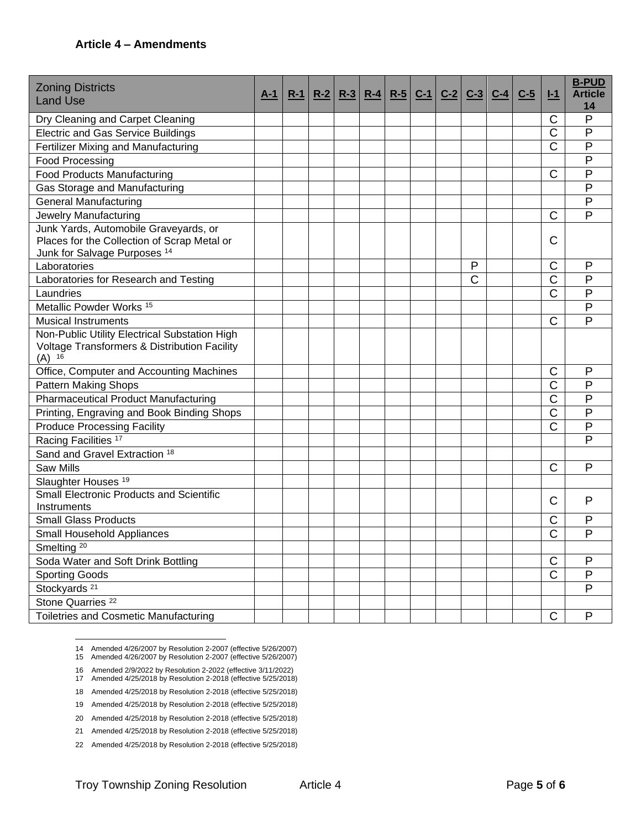| <b>Zoning Districts</b>                                                                |       |       |       |       |       |       |       |       |       |       |       |                       | <b>B-PUD</b>   |
|----------------------------------------------------------------------------------------|-------|-------|-------|-------|-------|-------|-------|-------|-------|-------|-------|-----------------------|----------------|
| <b>Land Use</b>                                                                        | $A-1$ | $R-1$ | $R-2$ | $R-3$ | $R-4$ | $R-5$ | $C-1$ | $C-2$ | $C-3$ | $C-4$ | $C-5$ | $I-1$                 | <b>Article</b> |
|                                                                                        |       |       |       |       |       |       |       |       |       |       |       | С                     | 14<br>P        |
| Dry Cleaning and Carpet Cleaning<br><b>Electric and Gas Service Buildings</b>          |       |       |       |       |       |       |       |       |       |       |       | Ć                     | P              |
| Fertilizer Mixing and Manufacturing                                                    |       |       |       |       |       |       |       |       |       |       |       | Ć                     | P              |
|                                                                                        |       |       |       |       |       |       |       |       |       |       |       |                       | P              |
| Food Processing                                                                        |       |       |       |       |       |       |       |       |       |       |       | C                     | P              |
| <b>Food Products Manufacturing</b>                                                     |       |       |       |       |       |       |       |       |       |       |       |                       |                |
| Gas Storage and Manufacturing                                                          |       |       |       |       |       |       |       |       |       |       |       |                       | P              |
| <b>General Manufacturing</b>                                                           |       |       |       |       |       |       |       |       |       |       |       |                       | P              |
| Jewelry Manufacturing                                                                  |       |       |       |       |       |       |       |       |       |       |       | C                     | P              |
| Junk Yards, Automobile Graveyards, or                                                  |       |       |       |       |       |       |       |       |       |       |       |                       |                |
| Places for the Collection of Scrap Metal or<br>Junk for Salvage Purposes <sup>14</sup> |       |       |       |       |       |       |       |       |       |       |       | С                     |                |
| Laboratories                                                                           |       |       |       |       |       |       |       |       | P     |       |       | C                     | P              |
| Laboratories for Research and Testing                                                  |       |       |       |       |       |       |       |       | C     |       |       | $\overline{\text{C}}$ | P              |
| Laundries                                                                              |       |       |       |       |       |       |       |       |       |       |       | $\overline{\text{C}}$ | P              |
| Metallic Powder Works <sup>15</sup>                                                    |       |       |       |       |       |       |       |       |       |       |       |                       | $\mathsf{P}$   |
| <b>Musical Instruments</b>                                                             |       |       |       |       |       |       |       |       |       |       |       | С                     | P              |
| Non-Public Utility Electrical Substation High                                          |       |       |       |       |       |       |       |       |       |       |       |                       |                |
| Voltage Transformers & Distribution Facility<br>$(A)$ <sup>16</sup>                    |       |       |       |       |       |       |       |       |       |       |       |                       |                |
| Office, Computer and Accounting Machines                                               |       |       |       |       |       |       |       |       |       |       |       | С                     | P              |
| <b>Pattern Making Shops</b>                                                            |       |       |       |       |       |       |       |       |       |       |       | Ć                     | P              |
| <b>Pharmaceutical Product Manufacturing</b>                                            |       |       |       |       |       |       |       |       |       |       |       | $\overline{\text{C}}$ | P              |
| Printing, Engraving and Book Binding Shops                                             |       |       |       |       |       |       |       |       |       |       |       | $\overline{\text{C}}$ | P              |
| <b>Produce Processing Facility</b>                                                     |       |       |       |       |       |       |       |       |       |       |       | Ć                     | P              |
| Racing Facilities <sup>17</sup>                                                        |       |       |       |       |       |       |       |       |       |       |       |                       | $\mathsf{P}$   |
| Sand and Gravel Extraction 18                                                          |       |       |       |       |       |       |       |       |       |       |       |                       |                |
| <b>Saw Mills</b>                                                                       |       |       |       |       |       |       |       |       |       |       |       | C                     | P              |
| Slaughter Houses <sup>19</sup>                                                         |       |       |       |       |       |       |       |       |       |       |       |                       |                |
| <b>Small Electronic Products and Scientific</b>                                        |       |       |       |       |       |       |       |       |       |       |       | С                     | $\mathsf{P}$   |
| Instruments                                                                            |       |       |       |       |       |       |       |       |       |       |       |                       |                |
| <b>Small Glass Products</b>                                                            |       |       |       |       |       |       |       |       |       |       |       | С                     | P              |
| Small Household Appliances                                                             |       |       |       |       |       |       |       |       |       |       |       | Ć                     | P              |
| Smelting <sup>20</sup>                                                                 |       |       |       |       |       |       |       |       |       |       |       |                       |                |
| Soda Water and Soft Drink Bottling                                                     |       |       |       |       |       |       |       |       |       |       |       | $\mathsf C$           | P              |
| <b>Sporting Goods</b>                                                                  |       |       |       |       |       |       |       |       |       |       |       | $\overline{\text{C}}$ | ${\sf P}$      |
| Stockyards <sup>21</sup>                                                               |       |       |       |       |       |       |       |       |       |       |       |                       | P              |
| Stone Quarries <sup>22</sup>                                                           |       |       |       |       |       |       |       |       |       |       |       |                       |                |
| Toiletries and Cosmetic Manufacturing                                                  |       |       |       |       |       |       |       |       |       |       |       | C                     | P              |

14 Amended 4/26/2007 by Resolution 2-2007 (effective 5/26/2007)

- 15 Amended 4/26/2007 by Resolution 2-2007 (effective 5/26/2007)
- 16 Amended 2/9/2022 by Resolution 2-2022 (effective 3/11/2022) 17 Amended 4/25/2018 by Resolution 2-2018 (effective 5/25/2018)
- 18 Amended 4/25/2018 by Resolution 2-2018 (effective 5/25/2018)
- 19 Amended 4/25/2018 by Resolution 2-2018 (effective 5/25/2018)
- 20 Amended 4/25/2018 by Resolution 2-2018 (effective 5/25/2018)
- 21 Amended 4/25/2018 by Resolution 2-2018 (effective 5/25/2018)
- 22 Amended 4/25/2018 by Resolution 2-2018 (effective 5/25/2018)